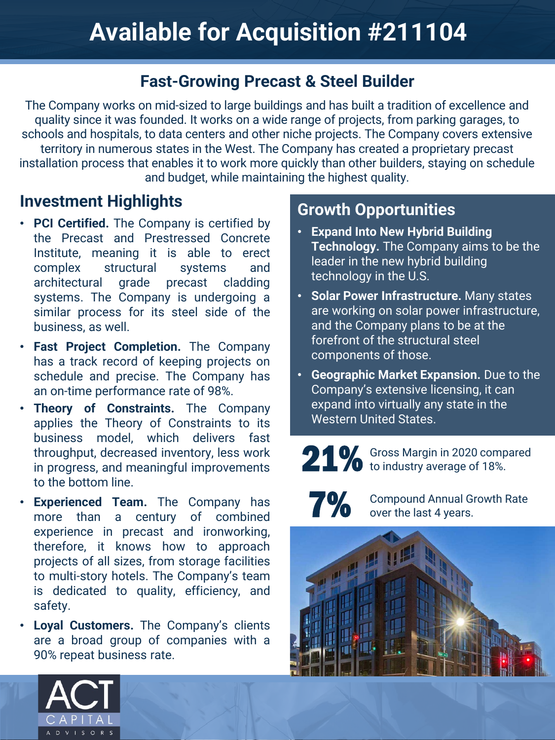### **Fast-Growing Precast & Steel Builder**

The Company works on mid-sized to large buildings and has built a tradition of excellence and quality since it was founded. It works on a wide range of projects, from parking garages, to schools and hospitals, to data centers and other niche projects. The Company covers extensive territory in numerous states in the West. The Company has created a proprietary precast installation process that enables it to work more quickly than other builders, staying on schedule and budget, while maintaining the highest quality.

### **Investment Highlights**

- **PCI Certified.** The Company is certified by the Precast and Prestressed Concrete Institute, meaning it is able to erect complex structural systems and architectural grade precast cladding systems. The Company is undergoing a similar process for its steel side of the business, as well.
- **Fast Project Completion.** The Company has a track record of keeping projects on schedule and precise. The Company has an on-time performance rate of 98%.
- **Theory of Constraints.** The Company applies the Theory of Constraints to its business model, which delivers fast throughput, decreased inventory, less work in progress, and meaningful improvements to the bottom line.
- **Experienced Team.** The Company has more than a century of combined experience in precast and ironworking, therefore, it knows how to approach projects of all sizes, from storage facilities to multi-story hotels. The Company's team is dedicated to quality, efficiency, and safety.
- **Loyal Customers.** The Company's clients are a broad group of companies with a 90% repeat business rate.

## **Growth Opportunities**

- **Expand Into New Hybrid Building Technology.** The Company aims to be the leader in the new hybrid building technology in the U.S.
- **Solar Power Infrastructure.** Many states are working on solar power infrastructure, and the Company plans to be at the forefront of the structural steel components of those.
- **Geographic Market Expansion.** Due to the Company's extensive licensing, it can expand into virtually any state in the Western United States.

21% Gross Margin in 2020 compared to industry average of 18%.

7%

Compound Annual Growth Rate over the last 4 years.